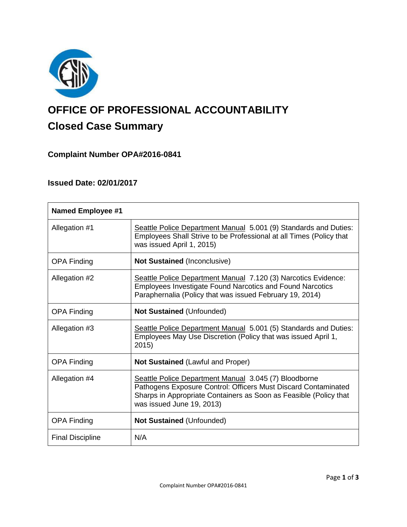

# **OFFICE OF PROFESSIONAL ACCOUNTABILITY Closed Case Summary**

# **Complaint Number OPA#2016-0841**

## **Issued Date: 02/01/2017**

| <b>Named Employee #1</b> |                                                                                                                                                                                                                           |
|--------------------------|---------------------------------------------------------------------------------------------------------------------------------------------------------------------------------------------------------------------------|
| Allegation #1            | Seattle Police Department Manual 5.001 (9) Standards and Duties:<br>Employees Shall Strive to be Professional at all Times (Policy that<br>was issued April 1, 2015)                                                      |
| <b>OPA Finding</b>       | <b>Not Sustained (Inconclusive)</b>                                                                                                                                                                                       |
| Allegation #2            | Seattle Police Department Manual 7.120 (3) Narcotics Evidence:<br><b>Employees Investigate Found Narcotics and Found Narcotics</b><br>Paraphernalia (Policy that was issued February 19, 2014)                            |
| <b>OPA Finding</b>       | <b>Not Sustained (Unfounded)</b>                                                                                                                                                                                          |
| Allegation #3            | Seattle Police Department Manual 5.001 (5) Standards and Duties:<br>Employees May Use Discretion (Policy that was issued April 1,<br>2015)                                                                                |
| <b>OPA Finding</b>       | Not Sustained (Lawful and Proper)                                                                                                                                                                                         |
| Allegation #4            | Seattle Police Department Manual 3.045 (7) Bloodborne<br>Pathogens Exposure Control: Officers Must Discard Contaminated<br>Sharps in Appropriate Containers as Soon as Feasible (Policy that<br>was issued June 19, 2013) |
| <b>OPA Finding</b>       | <b>Not Sustained (Unfounded)</b>                                                                                                                                                                                          |
| <b>Final Discipline</b>  | N/A                                                                                                                                                                                                                       |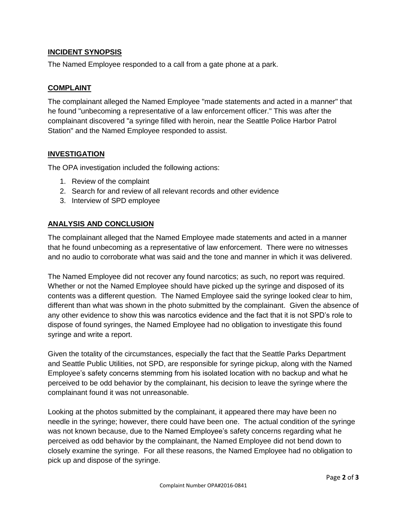## **INCIDENT SYNOPSIS**

The Named Employee responded to a call from a gate phone at a park.

## **COMPLAINT**

The complainant alleged the Named Employee "made statements and acted in a manner" that he found "unbecoming a representative of a law enforcement officer." This was after the complainant discovered "a syringe filled with heroin, near the Seattle Police Harbor Patrol Station" and the Named Employee responded to assist.

## **INVESTIGATION**

The OPA investigation included the following actions:

- 1. Review of the complaint
- 2. Search for and review of all relevant records and other evidence
- 3. Interview of SPD employee

## **ANALYSIS AND CONCLUSION**

The complainant alleged that the Named Employee made statements and acted in a manner that he found unbecoming as a representative of law enforcement. There were no witnesses and no audio to corroborate what was said and the tone and manner in which it was delivered.

The Named Employee did not recover any found narcotics; as such, no report was required. Whether or not the Named Employee should have picked up the syringe and disposed of its contents was a different question. The Named Employee said the syringe looked clear to him, different than what was shown in the photo submitted by the complainant. Given the absence of any other evidence to show this was narcotics evidence and the fact that it is not SPD's role to dispose of found syringes, the Named Employee had no obligation to investigate this found syringe and write a report.

Given the totality of the circumstances, especially the fact that the Seattle Parks Department and Seattle Public Utilities, not SPD, are responsible for syringe pickup, along with the Named Employee's safety concerns stemming from his isolated location with no backup and what he perceived to be odd behavior by the complainant, his decision to leave the syringe where the complainant found it was not unreasonable.

Looking at the photos submitted by the complainant, it appeared there may have been no needle in the syringe; however, there could have been one. The actual condition of the syringe was not known because, due to the Named Employee's safety concerns regarding what he perceived as odd behavior by the complainant, the Named Employee did not bend down to closely examine the syringe. For all these reasons, the Named Employee had no obligation to pick up and dispose of the syringe.